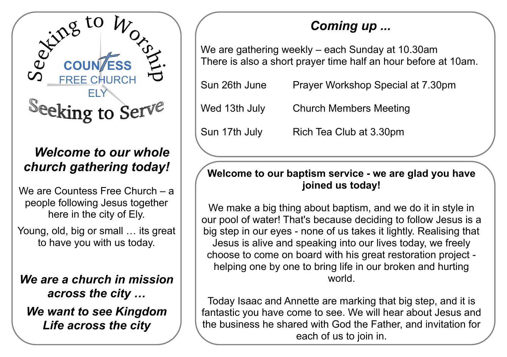

## *Welcome to our whole church gathering today!*

We are Countess Free Church – a people following Jesus together here in the city of Ely.

Young, old, big or small … its great to have you with us today.

*We are a church in mission across the city … We want to see Kingdom Life across the city*

# *Coming up ...*

We are gathering weekly – each Sunday at 10.30am There is also a short prayer time half an hour before at 10am.

| Sun 26th June | Prayer Workshop Special at 7.30pm |
|---------------|-----------------------------------|
| Wed 13th July | <b>Church Members Meeting</b>     |
| Sun 17th July | Rich Tea Club at 3.30pm           |

#### **Welcome to our baptism service - we are glad you have joined us today!**

We make a big thing about baptism, and we do it in style in our pool of water! That's because deciding to follow Jesus is a big step in our eyes - none of us takes it lightly. Realising that Jesus is alive and speaking into our lives today, we freely choose to come on board with his great restoration project helping one by one to bring life in our broken and hurting world.

Today Isaac and Annette are marking that big step, and it is fantastic you have come to see. We will hear about Jesus and the business he shared with God the Father, and invitation for each of us to join in.